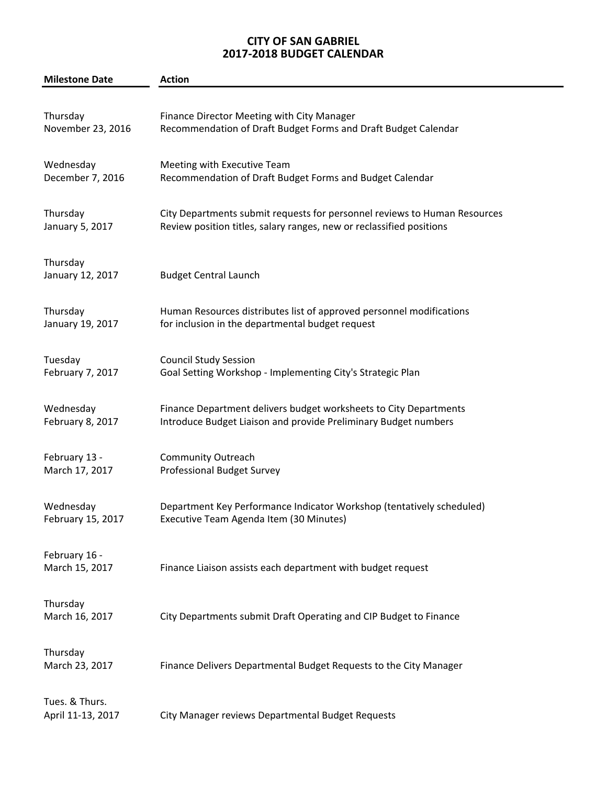## **CITY OF SAN GABRIEL 2017-2018 BUDGET CALENDAR**

| <b>Milestone Date</b>               | <b>Action</b>                                                             |
|-------------------------------------|---------------------------------------------------------------------------|
| Thursday                            | <b>Finance Director Meeting with City Manager</b>                         |
| November 23, 2016                   | Recommendation of Draft Budget Forms and Draft Budget Calendar            |
| Wednesday                           | Meeting with Executive Team                                               |
| December 7, 2016                    | Recommendation of Draft Budget Forms and Budget Calendar                  |
| Thursday                            | City Departments submit requests for personnel reviews to Human Resources |
| January 5, 2017                     | Review position titles, salary ranges, new or reclassified positions      |
| Thursday<br>January 12, 2017        | <b>Budget Central Launch</b>                                              |
| Thursday                            | Human Resources distributes list of approved personnel modifications      |
| January 19, 2017                    | for inclusion in the departmental budget request                          |
| Tuesday                             | <b>Council Study Session</b>                                              |
| February 7, 2017                    | Goal Setting Workshop - Implementing City's Strategic Plan                |
| Wednesday                           | Finance Department delivers budget worksheets to City Departments         |
| February 8, 2017                    | Introduce Budget Liaison and provide Preliminary Budget numbers           |
| February 13 -                       | <b>Community Outreach</b>                                                 |
| March 17, 2017                      | <b>Professional Budget Survey</b>                                         |
| Wednesday                           | Department Key Performance Indicator Workshop (tentatively scheduled)     |
| February 15, 2017                   | Executive Team Agenda Item (30 Minutes)                                   |
| February 16 -<br>March 15, 2017     | Finance Liaison assists each department with budget request               |
| Thursday<br>March 16, 2017          | City Departments submit Draft Operating and CIP Budget to Finance         |
| Thursday<br>March 23, 2017          | Finance Delivers Departmental Budget Requests to the City Manager         |
| Tues. & Thurs.<br>April 11-13, 2017 | City Manager reviews Departmental Budget Requests                         |